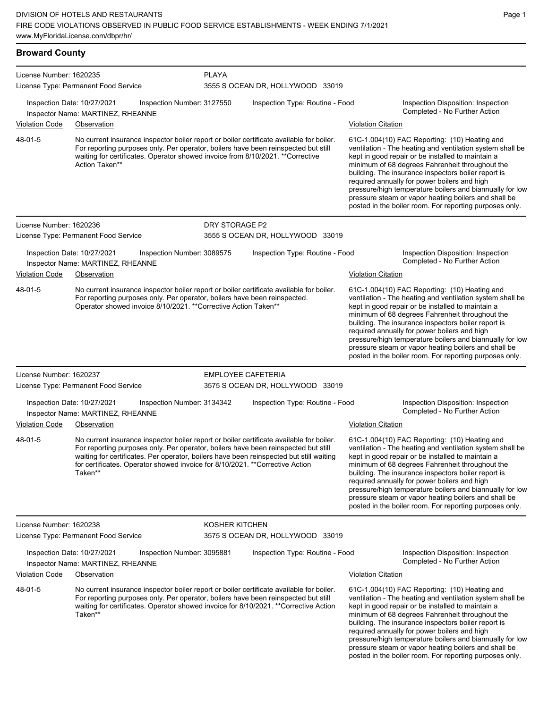| <b>Broward County</b>   |                                                                                                                                                                                                                                                                                                                                                                      |                |                                  |                           |                                                                                                                                                                                                                                                                                                                                                                                                                                                                                                          |
|-------------------------|----------------------------------------------------------------------------------------------------------------------------------------------------------------------------------------------------------------------------------------------------------------------------------------------------------------------------------------------------------------------|----------------|----------------------------------|---------------------------|----------------------------------------------------------------------------------------------------------------------------------------------------------------------------------------------------------------------------------------------------------------------------------------------------------------------------------------------------------------------------------------------------------------------------------------------------------------------------------------------------------|
| License Number: 1620235 | License Type: Permanent Food Service                                                                                                                                                                                                                                                                                                                                 | <b>PLAYA</b>   | 3555 S OCEAN DR, HOLLYWOOD 33019 |                           |                                                                                                                                                                                                                                                                                                                                                                                                                                                                                                          |
|                         | Inspection Date: 10/27/2021<br>Inspection Number: 3127550<br>Inspector Name: MARTINEZ, RHEANNE                                                                                                                                                                                                                                                                       |                | Inspection Type: Routine - Food  |                           | Inspection Disposition: Inspection<br>Completed - No Further Action                                                                                                                                                                                                                                                                                                                                                                                                                                      |
| Violation Code          | Observation                                                                                                                                                                                                                                                                                                                                                          |                |                                  |                           | <b>Violation Citation</b>                                                                                                                                                                                                                                                                                                                                                                                                                                                                                |
| 48-01-5                 | No current insurance inspector boiler report or boiler certificate available for boiler.<br>For reporting purposes only. Per operator, boilers have been reinspected but still<br>waiting for certificates. Operator showed invoice from 8/10/2021. ** Corrective<br>Action Taken**                                                                                  |                |                                  |                           | 61C-1.004(10) FAC Reporting: (10) Heating and<br>ventilation - The heating and ventilation system shall be<br>kept in good repair or be installed to maintain a<br>minimum of 68 degrees Fahrenheit throughout the<br>building. The insurance inspectors boiler report is<br>required annually for power boilers and high<br>pressure/high temperature boilers and biannually for low<br>pressure steam or vapor heating boilers and shall be<br>posted in the boiler room. For reporting purposes only. |
| License Number: 1620236 | License Type: Permanent Food Service                                                                                                                                                                                                                                                                                                                                 | DRY STORAGE P2 | 3555 S OCEAN DR, HOLLYWOOD 33019 |                           |                                                                                                                                                                                                                                                                                                                                                                                                                                                                                                          |
|                         | Inspection Date: 10/27/2021<br>Inspection Number: 3089575<br>Inspector Name: MARTINEZ, RHEANNE                                                                                                                                                                                                                                                                       |                | Inspection Type: Routine - Food  |                           | Inspection Disposition: Inspection<br>Completed - No Further Action                                                                                                                                                                                                                                                                                                                                                                                                                                      |
| Violation Code          | Observation                                                                                                                                                                                                                                                                                                                                                          |                |                                  | <b>Violation Citation</b> |                                                                                                                                                                                                                                                                                                                                                                                                                                                                                                          |
| 48-01-5                 | No current insurance inspector boiler report or boiler certificate available for boiler.<br>For reporting purposes only. Per operator, boilers have been reinspected.<br>Operator showed invoice 8/10/2021. ** Corrective Action Taken**                                                                                                                             |                |                                  |                           | 61C-1.004(10) FAC Reporting: (10) Heating and<br>ventilation - The heating and ventilation system shall be<br>kept in good repair or be installed to maintain a<br>minimum of 68 degrees Fahrenheit throughout the<br>building. The insurance inspectors boiler report is<br>required annually for power boilers and high<br>pressure/high temperature boilers and biannually for low<br>pressure steam or vapor heating boilers and shall be<br>posted in the boiler room. For reporting purposes only. |
| License Number: 1620237 |                                                                                                                                                                                                                                                                                                                                                                      |                | <b>EMPLOYEE CAFETERIA</b>        |                           |                                                                                                                                                                                                                                                                                                                                                                                                                                                                                                          |
|                         | License Type: Permanent Food Service                                                                                                                                                                                                                                                                                                                                 |                | 3575 S OCEAN DR, HOLLYWOOD 33019 |                           |                                                                                                                                                                                                                                                                                                                                                                                                                                                                                                          |
|                         | Inspection Date: 10/27/2021<br>Inspection Number: 3134342<br>Inspector Name: MARTINEZ, RHEANNE                                                                                                                                                                                                                                                                       |                | Inspection Type: Routine - Food  |                           | Inspection Disposition: Inspection<br>Completed - No Further Action                                                                                                                                                                                                                                                                                                                                                                                                                                      |
| <b>Violation Code</b>   | Observation                                                                                                                                                                                                                                                                                                                                                          |                |                                  | <b>Violation Citation</b> |                                                                                                                                                                                                                                                                                                                                                                                                                                                                                                          |
| 48-01-5                 | No current insurance inspector boiler report or boiler certificate available for boiler.<br>For reporting purposes only. Per operator, boilers have been reinspected but still<br>waiting for certificates. Per operator, boilers have been reinspected but still waiting<br>for certificates. Operator showed invoice for 8/10/2021. **Corrective Action<br>Taken** |                |                                  |                           | 61C-1.004(10) FAC Reporting: (10) Heating and<br>ventilation - The heating and ventilation system shall be<br>kept in good repair or be installed to maintain a<br>minimum of 68 degrees Fahrenheit throughout the<br>building. The insurance inspectors boiler report is<br>required annually for power boilers and high<br>pressure/high temperature boilers and biannually for low<br>pressure steam or vapor heating boilers and shall be<br>posted in the boiler room. For reporting purposes only. |
| License Number: 1620238 |                                                                                                                                                                                                                                                                                                                                                                      | KOSHER KITCHEN |                                  |                           |                                                                                                                                                                                                                                                                                                                                                                                                                                                                                                          |
|                         | License Type: Permanent Food Service                                                                                                                                                                                                                                                                                                                                 |                | 3575 S OCEAN DR, HOLLYWOOD 33019 |                           |                                                                                                                                                                                                                                                                                                                                                                                                                                                                                                          |
|                         | Inspection Date: 10/27/2021<br>Inspection Number: 3095881<br>Inspector Name: MARTINEZ, RHEANNE                                                                                                                                                                                                                                                                       |                | Inspection Type: Routine - Food  |                           | Inspection Disposition: Inspection<br>Completed - No Further Action                                                                                                                                                                                                                                                                                                                                                                                                                                      |
| Violation Code          | Observation                                                                                                                                                                                                                                                                                                                                                          |                |                                  | <b>Violation Citation</b> |                                                                                                                                                                                                                                                                                                                                                                                                                                                                                                          |
| 48-01-5                 | No current insurance inspector boiler report or boiler certificate available for boiler.<br>For reporting purposes only. Per operator, boilers have been reinspected but still<br>waiting for certificates. Operator showed invoice for 8/10/2021. **Corrective Action<br>Taken**                                                                                    |                |                                  |                           | 61C-1.004(10) FAC Reporting: (10) Heating and<br>ventilation - The heating and ventilation system shall be<br>kept in good repair or be installed to maintain a<br>minimum of 68 degrees Fahrenheit throughout the<br>building. The insurance inspectors boiler report is<br>required annually for power boilers and high<br>pressure/high temperature boilers and biannually for low                                                                                                                    |

pressure steam or vapor heating boilers and shall be posted in the boiler room. For reporting purposes only.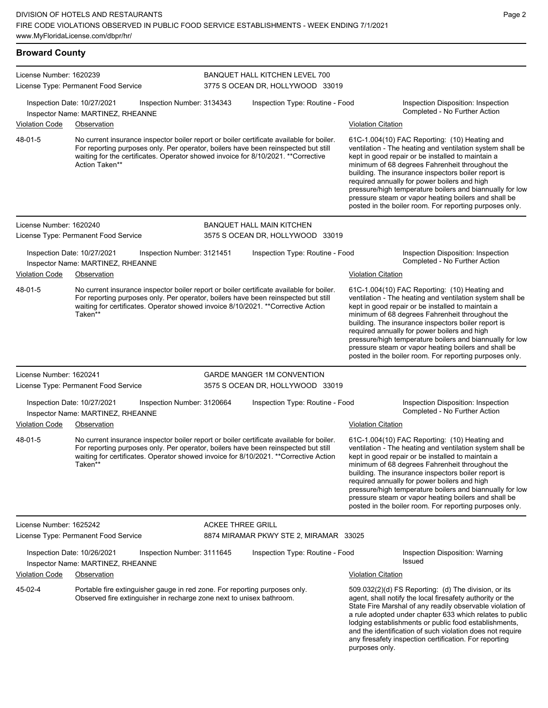**Broward County** License Number: 1620239 License Type: Permanent Food Service BANQUET HALL KITCHEN LEVEL 700 3775 S OCEAN DR, HOLLYWOOD 33019 Inspection Date: 10/27/2021 Inspection Number: 3134343 Inspection Type: Routine - Food Inspection Disposition: Inspection Completed - No Further Action Inspector Name: MARTINEZ, RHEANNE Violation Code Observation Violation Citation No current insurance inspector boiler report or boiler certificate available for boiler. For reporting purposes only. Per operator, boilers have been reinspected but still waiting for the certificates. Operator showed invoice for 8/10/2021. \*\*Corrective Action Taken\*\* 61C-1.004(10) FAC Reporting: (10) Heating and ventilation - The heating and ventilation system shall be kept in good repair or be installed to maintain a minimum of 68 degrees Fahrenheit throughout the building. The insurance inspectors boiler report is required annually for power boilers and high pressure/high temperature boilers and biannually for low pressure steam or vapor heating boilers and shall be posted in the boiler room. For reporting purposes only. 48-01-5 License Number: 1620240 License Type: Permanent Food Service BANQUET HALL MAIN KITCHEN 3575 S OCEAN DR, HOLLYWOOD 33019 Inspection Date: 10/27/2021 Inspection Number: 3121451 Inspection Type: Routine - Food Inspection Disposition: Inspection Inspector Name: MARTINEZ, RHEANNE Violation Code Observation Violation Citation No current insurance inspector boiler report or boiler certificate available for boiler. For reporting purposes only. Per operator, boilers have been reinspected but still waiting for certificates. Operator showed invoice 8/10/2021. \*\*Corrective Action Taken\*\* 61C-1.004(10) FAC Reporting: (10) Heating and ventilation - The heating and ventilation system shall be kept in good repair or be installed to maintain a minimum of 68 degrees Fahrenheit throughout the building. The insurance inspectors boiler report is required annually for power boilers and high pressure/high temperature boilers and biannually for low pressure steam or vapor heating boilers and shall be posted in the boiler room. For reporting purposes only. 48-01-5 License Number: 1620241 License Type: Permanent Food Service GARDE MANGER 1M CONVENTION 3575 S OCEAN DR, HOLLYWOOD 33019 Inspection Date: 10/27/2021 Inspection Number: 3120664 Inspection Type: Routine - Food Inspection Disposition: Inspection Completed - No Further Action Inspector Name: MARTINEZ, RHEANNE Violation Code Observation Violation Citation No current insurance inspector boiler report or boiler certificate available for boiler. For reporting purposes only. Per operator, boilers have been reinspected but still waiting for certificates. Operator showed invoice for 8/10/2021. \*\*Corrective Action Taken\*\* 61C-1.004(10) FAC Reporting: (10) Heating and ventilation - The heating and ventilation system shall be kept in good repair or be installed to maintain a minimum of 68 degrees Fahrenheit throughout the building. The insurance inspectors boiler report is required annually for power boilers and high pressure/high temperature boilers and biannually for low pressure steam or vapor heating boilers and shall be posted in the boiler room. For reporting purposes only. 48-01-5 License Number: 1625242 License Type: Permanent Food Service ACKEE THREE GRILL 8874 MIRAMAR PKWY STE 2, MIRAMAR 33025 Inspection Date: 10/26/2021 Inspection Number: 3111645 Inspection Type: Routine - Food Inspection Disposition: Warning Issued Inspector Name: MARTINEZ, RHEANNE Violation Code Observation Violation Citation Portable fire extinguisher gauge in red zone. For reporting purposes only. Observed fire extinguisher in recharge zone next to unisex bathroom. 509.032(2)(d) FS Reporting: (d) The division, or its agent, shall notify the local firesafety authority or the State Fire Marshal of any readily observable violation of a rule adopted under chapter 633 which relates to public lodging establishments or public food establishments, and the identification of such violation does not require any firesafety inspection certification. For reporting purposes only. 45-02-4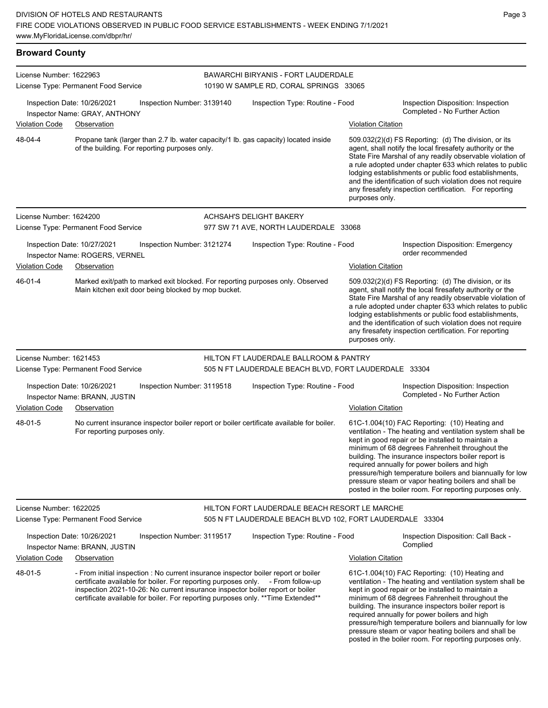| <b>Broward County</b>   |                                                                                                                                                                                                                                                                                                                                             |                                                                                                            |                           |                                                                                                                                                                                                                                                                                                                                                                                                                                                                                                          |
|-------------------------|---------------------------------------------------------------------------------------------------------------------------------------------------------------------------------------------------------------------------------------------------------------------------------------------------------------------------------------------|------------------------------------------------------------------------------------------------------------|---------------------------|----------------------------------------------------------------------------------------------------------------------------------------------------------------------------------------------------------------------------------------------------------------------------------------------------------------------------------------------------------------------------------------------------------------------------------------------------------------------------------------------------------|
| License Number: 1622963 | License Type: Permanent Food Service                                                                                                                                                                                                                                                                                                        | <b>BAWARCHI BIRYANIS - FORT LAUDERDALE</b><br>10190 W SAMPLE RD, CORAL SPRINGS 33065                       |                           |                                                                                                                                                                                                                                                                                                                                                                                                                                                                                                          |
|                         | Inspection Date: 10/26/2021<br>Inspection Number: 3139140<br>Inspector Name: GRAY, ANTHONY                                                                                                                                                                                                                                                  | Inspection Type: Routine - Food                                                                            |                           | Inspection Disposition: Inspection<br>Completed - No Further Action                                                                                                                                                                                                                                                                                                                                                                                                                                      |
| <b>Violation Code</b>   | Observation                                                                                                                                                                                                                                                                                                                                 |                                                                                                            | <b>Violation Citation</b> |                                                                                                                                                                                                                                                                                                                                                                                                                                                                                                          |
| 48-04-4                 | Propane tank (larger than 2.7 lb. water capacity/1 lb. gas capacity) located inside<br>of the building. For reporting purposes only.                                                                                                                                                                                                        |                                                                                                            | purposes only.            | 509.032(2)(d) FS Reporting: (d) The division, or its<br>agent, shall notify the local firesafety authority or the<br>State Fire Marshal of any readily observable violation of<br>a rule adopted under chapter 633 which relates to public<br>lodging establishments or public food establishments,<br>and the identification of such violation does not require<br>any firesafety inspection certification. For reporting                                                                               |
| License Number: 1624200 |                                                                                                                                                                                                                                                                                                                                             | ACHSAH'S DELIGHT BAKERY                                                                                    |                           |                                                                                                                                                                                                                                                                                                                                                                                                                                                                                                          |
|                         | License Type: Permanent Food Service                                                                                                                                                                                                                                                                                                        | 977 SW 71 AVE, NORTH LAUDERDALE 33068                                                                      |                           |                                                                                                                                                                                                                                                                                                                                                                                                                                                                                                          |
|                         | Inspection Date: 10/27/2021<br>Inspection Number: 3121274<br>Inspector Name: ROGERS, VERNEL                                                                                                                                                                                                                                                 | Inspection Type: Routine - Food                                                                            |                           | Inspection Disposition: Emergency<br>order recommended                                                                                                                                                                                                                                                                                                                                                                                                                                                   |
| <b>Violation Code</b>   | Observation                                                                                                                                                                                                                                                                                                                                 |                                                                                                            | <b>Violation Citation</b> |                                                                                                                                                                                                                                                                                                                                                                                                                                                                                                          |
| 46-01-4                 | Marked exit/path to marked exit blocked. For reporting purposes only. Observed<br>Main kitchen exit door being blocked by mop bucket.                                                                                                                                                                                                       |                                                                                                            | purposes only.            | 509.032(2)(d) FS Reporting: (d) The division, or its<br>agent, shall notify the local firesafety authority or the<br>State Fire Marshal of any readily observable violation of<br>a rule adopted under chapter 633 which relates to public<br>lodging establishments or public food establishments,<br>and the identification of such violation does not require<br>any firesafety inspection certification. For reporting                                                                               |
| License Number: 1621453 |                                                                                                                                                                                                                                                                                                                                             | HILTON FT LAUDERDALE BALLROOM & PANTRY                                                                     |                           |                                                                                                                                                                                                                                                                                                                                                                                                                                                                                                          |
|                         | License Type: Permanent Food Service                                                                                                                                                                                                                                                                                                        | 505 N FT LAUDERDALE BEACH BLVD, FORT LAUDERDALE 33304                                                      |                           |                                                                                                                                                                                                                                                                                                                                                                                                                                                                                                          |
| <b>Violation Code</b>   | Inspection Date: 10/26/2021<br>Inspection Number: 3119518<br>Inspector Name: BRANN, JUSTIN<br>Observation                                                                                                                                                                                                                                   | Inspection Type: Routine - Food                                                                            | <b>Violation Citation</b> | Inspection Disposition: Inspection<br>Completed - No Further Action                                                                                                                                                                                                                                                                                                                                                                                                                                      |
| 48-01-5                 | No current insurance inspector boiler report or boiler certificate available for boiler.<br>For reporting purposes only.                                                                                                                                                                                                                    |                                                                                                            |                           | 61C-1.004(10) FAC Reporting: (10) Heating and<br>ventilation - The heating and ventilation system shall be<br>kept in good repair or be installed to maintain a<br>minimum of 68 degrees Fahrenheit throughout the<br>building. The insurance inspectors boiler report is<br>required annually for power boilers and high<br>pressure/high temperature boilers and biannually for low<br>pressure steam or vapor heating boilers and shall be<br>posted in the boiler room. For reporting purposes only. |
| License Number: 1622025 | License Type: Permanent Food Service                                                                                                                                                                                                                                                                                                        | HILTON FORT LAUDERDALE BEACH RESORT LE MARCHE<br>505 N FT LAUDERDALE BEACH BLVD 102, FORT LAUDERDALE 33304 |                           |                                                                                                                                                                                                                                                                                                                                                                                                                                                                                                          |
|                         | Inspection Date: 10/26/2021<br>Inspection Number: 3119517<br>Inspector Name: BRANN, JUSTIN                                                                                                                                                                                                                                                  | Inspection Type: Routine - Food                                                                            |                           | Inspection Disposition: Call Back -<br>Complied                                                                                                                                                                                                                                                                                                                                                                                                                                                          |
| <b>Violation Code</b>   | Observation                                                                                                                                                                                                                                                                                                                                 |                                                                                                            | <b>Violation Citation</b> |                                                                                                                                                                                                                                                                                                                                                                                                                                                                                                          |
| 48-01-5                 | - From initial inspection : No current insurance inspector boiler report or boiler<br>certificate available for boiler. For reporting purposes only. - From follow-up<br>inspection 2021-10-26: No current insurance inspector boiler report or boiler<br>certificate available for boiler. For reporting purposes only. ** Time Extended** |                                                                                                            |                           | 61C-1.004(10) FAC Reporting: (10) Heating and<br>ventilation - The heating and ventilation system shall be<br>kept in good repair or be installed to maintain a<br>minimum of 68 degrees Fahrenheit throughout the<br>building. The insurance inspectors boiler report is<br>required annually for power boilers and high                                                                                                                                                                                |

pressure/high temperature boilers and biannually for low pressure steam or vapor heating boilers and shall be posted in the boiler room. For reporting purposes only.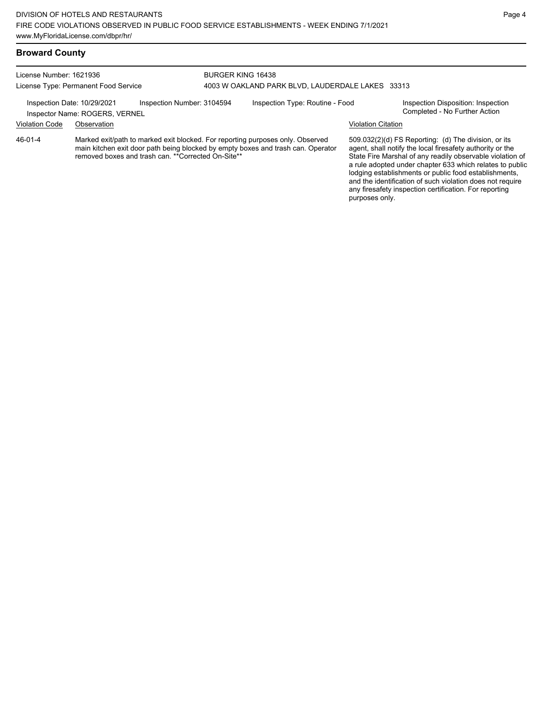# **Broward County**

| License Number: 1621936<br>License Type: Permanent Food Service                                                                                                                                                                      |                                                               | <b>BURGER KING 16438</b>                         |  |                                 |                                                                                                                                                                                                                                                                                                                                                                  |                                                                     |
|--------------------------------------------------------------------------------------------------------------------------------------------------------------------------------------------------------------------------------------|---------------------------------------------------------------|--------------------------------------------------|--|---------------------------------|------------------------------------------------------------------------------------------------------------------------------------------------------------------------------------------------------------------------------------------------------------------------------------------------------------------------------------------------------------------|---------------------------------------------------------------------|
|                                                                                                                                                                                                                                      |                                                               | 4003 W OAKLAND PARK BLVD, LAUDERDALE LAKES 33313 |  |                                 |                                                                                                                                                                                                                                                                                                                                                                  |                                                                     |
|                                                                                                                                                                                                                                      | Inspection Date: 10/29/2021<br>Inspector Name: ROGERS, VERNEL | Inspection Number: 3104594                       |  | Inspection Type: Routine - Food |                                                                                                                                                                                                                                                                                                                                                                  | Inspection Disposition: Inspection<br>Completed - No Further Action |
| <b>Violation Code</b>                                                                                                                                                                                                                | Observation                                                   |                                                  |  |                                 | <b>Violation Citation</b>                                                                                                                                                                                                                                                                                                                                        |                                                                     |
| Marked exit/path to marked exit blocked. For reporting purposes only. Observed<br>46-01-4<br>main kitchen exit door path being blocked by empty boxes and trash can. Operator<br>removed boxes and trash can. ** Corrected On-Site** |                                                               |                                                  |  |                                 | 509.032(2)(d) FS Reporting: (d) The division, or its<br>agent, shall notify the local firesafety authority or the<br>State Fire Marshal of any readily observable violation of<br>a rule adopted under chapter 633 which relates to public<br>lodging establishments or public food establishments,<br>and the identification of such violation does not require |                                                                     |

any firesafety inspection certification. For reporting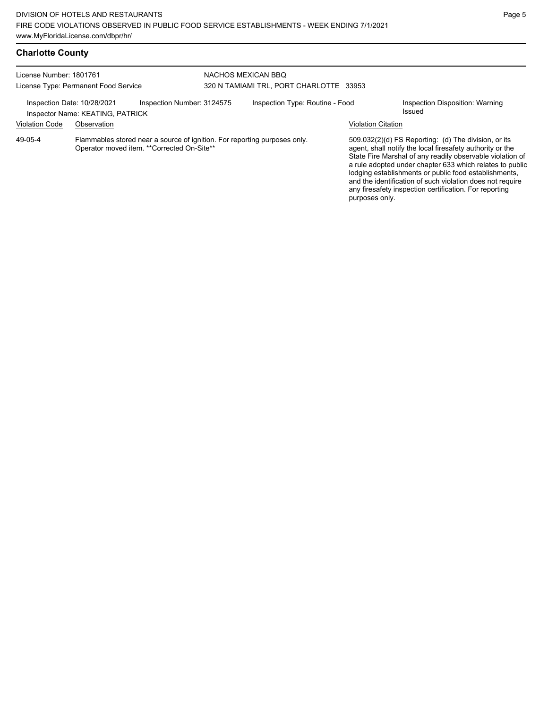# **Charlotte County**

| License Number: 1801761<br>License Type: Permanent Food Service |                                                                                                                          |                            | NACHOS MEXICAN BBO<br>320 N TAMIAMI TRL, PORT CHARLOTTE 33953 |                           |                                                                                                                                                                                                                                                                                                                                                                                                                            |  |  |
|-----------------------------------------------------------------|--------------------------------------------------------------------------------------------------------------------------|----------------------------|---------------------------------------------------------------|---------------------------|----------------------------------------------------------------------------------------------------------------------------------------------------------------------------------------------------------------------------------------------------------------------------------------------------------------------------------------------------------------------------------------------------------------------------|--|--|
| Inspection Date: 10/28/2021                                     | Inspector Name: KEATING, PATRICK                                                                                         | Inspection Number: 3124575 | Inspection Type: Routine - Food                               |                           | Inspection Disposition: Warning<br>Issued                                                                                                                                                                                                                                                                                                                                                                                  |  |  |
| <b>Violation Code</b>                                           | Observation                                                                                                              |                            |                                                               | <b>Violation Citation</b> |                                                                                                                                                                                                                                                                                                                                                                                                                            |  |  |
| 49-05-4                                                         | Flammables stored near a source of ignition. For reporting purposes only.<br>Operator moved item. ** Corrected On-Site** |                            |                                                               | purposes only.            | 509.032(2)(d) FS Reporting: (d) The division, or its<br>agent, shall notify the local firesafety authority or the<br>State Fire Marshal of any readily observable violation of<br>a rule adopted under chapter 633 which relates to public<br>lodging establishments or public food establishments,<br>and the identification of such violation does not require<br>any firesafety inspection certification. For reporting |  |  |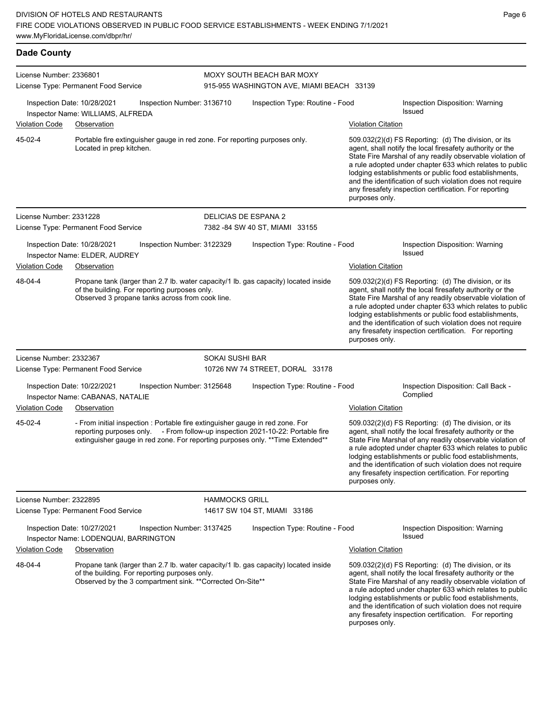| <b>Dade County</b>      |                                                                                                                                                                                                                                                    |                            |                                                                        |                           |                                                                                                                                                                                                                                                                                                                                                                                                                            |
|-------------------------|----------------------------------------------------------------------------------------------------------------------------------------------------------------------------------------------------------------------------------------------------|----------------------------|------------------------------------------------------------------------|---------------------------|----------------------------------------------------------------------------------------------------------------------------------------------------------------------------------------------------------------------------------------------------------------------------------------------------------------------------------------------------------------------------------------------------------------------------|
| License Number: 2336801 | License Type: Permanent Food Service                                                                                                                                                                                                               |                            | MOXY SOUTH BEACH BAR MOXY<br>915-955 WASHINGTON AVE, MIAMI BEACH 33139 |                           |                                                                                                                                                                                                                                                                                                                                                                                                                            |
|                         | Inspection Date: 10/28/2021<br>Inspector Name: WILLIAMS, ALFREDA                                                                                                                                                                                   | Inspection Number: 3136710 | Inspection Type: Routine - Food                                        |                           | Inspection Disposition: Warning<br><b>Issued</b>                                                                                                                                                                                                                                                                                                                                                                           |
| <b>Violation Code</b>   | Observation                                                                                                                                                                                                                                        |                            |                                                                        | <b>Violation Citation</b> |                                                                                                                                                                                                                                                                                                                                                                                                                            |
| 45-02-4                 | Portable fire extinguisher gauge in red zone. For reporting purposes only.<br>Located in prep kitchen.                                                                                                                                             |                            |                                                                        | purposes only.            | 509.032(2)(d) FS Reporting: (d) The division, or its<br>agent, shall notify the local firesafety authority or the<br>State Fire Marshal of any readily observable violation of<br>a rule adopted under chapter 633 which relates to public<br>lodging establishments or public food establishments,<br>and the identification of such violation does not require<br>any firesafety inspection certification. For reporting |
| License Number: 2331228 |                                                                                                                                                                                                                                                    |                            | DELICIAS DE ESPANA 2                                                   |                           |                                                                                                                                                                                                                                                                                                                                                                                                                            |
|                         | License Type: Permanent Food Service                                                                                                                                                                                                               |                            | 7382 - 84 SW 40 ST, MIAMI 33155                                        |                           |                                                                                                                                                                                                                                                                                                                                                                                                                            |
|                         | Inspection Date: 10/28/2021<br>Inspector Name: ELDER, AUDREY                                                                                                                                                                                       | Inspection Number: 3122329 | Inspection Type: Routine - Food                                        |                           | Inspection Disposition: Warning<br>Issued                                                                                                                                                                                                                                                                                                                                                                                  |
| <b>Violation Code</b>   | Observation                                                                                                                                                                                                                                        |                            |                                                                        | <b>Violation Citation</b> |                                                                                                                                                                                                                                                                                                                                                                                                                            |
| 48-04-4                 | Propane tank (larger than 2.7 lb. water capacity/1 lb. gas capacity) located inside<br>of the building. For reporting purposes only.<br>Observed 3 propane tanks across from cook line.                                                            |                            |                                                                        | purposes only.            | 509.032(2)(d) FS Reporting: (d) The division, or its<br>agent, shall notify the local firesafety authority or the<br>State Fire Marshal of any readily observable violation of<br>a rule adopted under chapter 633 which relates to public<br>lodging establishments or public food establishments,<br>and the identification of such violation does not require<br>any firesafety inspection certification. For reporting |
| License Number: 2332367 |                                                                                                                                                                                                                                                    | <b>SOKAI SUSHI BAR</b>     |                                                                        |                           |                                                                                                                                                                                                                                                                                                                                                                                                                            |
|                         | License Type: Permanent Food Service                                                                                                                                                                                                               |                            | 10726 NW 74 STREET, DORAL 33178                                        |                           |                                                                                                                                                                                                                                                                                                                                                                                                                            |
|                         | Inspection Date: 10/22/2021<br>Inspector Name: CABANAS, NATALIE                                                                                                                                                                                    | Inspection Number: 3125648 | Inspection Type: Routine - Food                                        |                           | Inspection Disposition: Call Back -<br>Complied                                                                                                                                                                                                                                                                                                                                                                            |
| <b>Violation Code</b>   | Observation                                                                                                                                                                                                                                        |                            |                                                                        | <b>Violation Citation</b> |                                                                                                                                                                                                                                                                                                                                                                                                                            |
| 45-02-4                 | - From initial inspection : Portable fire extinguisher gauge in red zone. For<br>reporting purposes only. - From follow-up inspection 2021-10-22: Portable fire<br>extinguisher gauge in red zone. For reporting purposes only. ** Time Extended** |                            |                                                                        | purposes only.            | 509.032(2)(d) FS Reporting: (d) The division, or its<br>agent, shall notify the local firesafety authority or the<br>State Fire Marshal of any readily observable violation of<br>a rule adopted under chapter 633 which relates to public<br>lodging establishments or public food establishments,<br>and the identification of such violation does not require<br>any firesafety inspection certification. For reporting |
| License Number: 2322895 |                                                                                                                                                                                                                                                    | <b>HAMMOCKS GRILL</b>      |                                                                        |                           |                                                                                                                                                                                                                                                                                                                                                                                                                            |
|                         | License Type: Permanent Food Service                                                                                                                                                                                                               |                            | 14617 SW 104 ST, MIAMI 33186                                           |                           |                                                                                                                                                                                                                                                                                                                                                                                                                            |
|                         | Inspection Date: 10/27/2021<br>Inspector Name: LODENQUAI, BARRINGTON                                                                                                                                                                               | Inspection Number: 3137425 | Inspection Type: Routine - Food                                        |                           | Inspection Disposition: Warning<br>Issued                                                                                                                                                                                                                                                                                                                                                                                  |
| <b>Violation Code</b>   | Observation                                                                                                                                                                                                                                        |                            |                                                                        | <b>Violation Citation</b> |                                                                                                                                                                                                                                                                                                                                                                                                                            |
| 48-04-4                 | Propane tank (larger than 2.7 lb. water capacity/1 lb. gas capacity) located inside<br>of the building. For reporting purposes only.<br>Observed by the 3 compartment sink. ** Corrected On-Site**                                                 |                            |                                                                        | purposes only.            | 509.032(2)(d) FS Reporting: (d) The division, or its<br>agent, shall notify the local firesafety authority or the<br>State Fire Marshal of any readily observable violation of<br>a rule adopted under chapter 633 which relates to public<br>lodging establishments or public food establishments,<br>and the identification of such violation does not require<br>any firesafety inspection certification. For reporting |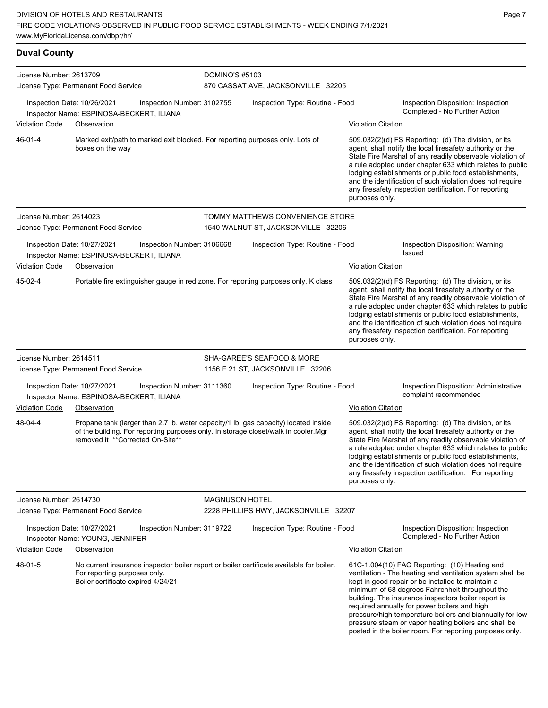| License Number: 2613709 |                                                                                                                         | <b>DOMINO'S #5103</b>      |                                                                                     |                           |                                                                                                                                                                                                                                                                                                                                                                                                                            |
|-------------------------|-------------------------------------------------------------------------------------------------------------------------|----------------------------|-------------------------------------------------------------------------------------|---------------------------|----------------------------------------------------------------------------------------------------------------------------------------------------------------------------------------------------------------------------------------------------------------------------------------------------------------------------------------------------------------------------------------------------------------------------|
|                         | License Type: Permanent Food Service                                                                                    |                            | 870 CASSAT AVE, JACKSONVILLE 32205                                                  |                           |                                                                                                                                                                                                                                                                                                                                                                                                                            |
|                         | Inspection Date: 10/26/2021<br>Inspector Name: ESPINOSA-BECKERT, ILIANA                                                 | Inspection Number: 3102755 | Inspection Type: Routine - Food                                                     |                           | Inspection Disposition: Inspection<br>Completed - No Further Action                                                                                                                                                                                                                                                                                                                                                        |
| <b>Violation Code</b>   | Observation                                                                                                             |                            |                                                                                     | Violation Citation        |                                                                                                                                                                                                                                                                                                                                                                                                                            |
| 46-01-4                 | Marked exit/path to marked exit blocked. For reporting purposes only. Lots of<br>boxes on the way                       |                            |                                                                                     | purposes only.            | 509.032(2)(d) FS Reporting: (d) The division, or its<br>agent, shall notify the local firesafety authority or the<br>State Fire Marshal of any readily observable violation of<br>a rule adopted under chapter 633 which relates to public<br>lodging establishments or public food establishments,<br>and the identification of such violation does not require<br>any firesafety inspection certification. For reporting |
| License Number: 2614023 | License Type: Permanent Food Service                                                                                    |                            | TOMMY MATTHEWS CONVENIENCE STORE<br>1540 WALNUT ST, JACKSONVILLE 32206              |                           |                                                                                                                                                                                                                                                                                                                                                                                                                            |
|                         | Inspection Date: 10/27/2021<br>Inspector Name: ESPINOSA-BECKERT, ILIANA                                                 | Inspection Number: 3106668 | Inspection Type: Routine - Food                                                     |                           | Inspection Disposition: Warning<br>Issued                                                                                                                                                                                                                                                                                                                                                                                  |
| <b>Violation Code</b>   | Observation                                                                                                             |                            |                                                                                     | <b>Violation Citation</b> |                                                                                                                                                                                                                                                                                                                                                                                                                            |
| 45-02-4                 |                                                                                                                         |                            | Portable fire extinguisher gauge in red zone. For reporting purposes only. K class  | purposes only.            | 509.032(2)(d) FS Reporting: (d) The division, or its<br>agent, shall notify the local firesafety authority or the<br>State Fire Marshal of any readily observable violation of<br>a rule adopted under chapter 633 which relates to public<br>lodging establishments or public food establishments,<br>and the identification of such violation does not require<br>any firesafety inspection certification. For reporting |
| License Number: 2614511 |                                                                                                                         |                            | SHA-GAREE'S SEAFOOD & MORE                                                          |                           |                                                                                                                                                                                                                                                                                                                                                                                                                            |
|                         | License Type: Permanent Food Service                                                                                    |                            | 1156 E 21 ST, JACKSONVILLE 32206                                                    |                           |                                                                                                                                                                                                                                                                                                                                                                                                                            |
|                         | Inspection Date: 10/27/2021<br>Inspector Name: ESPINOSA-BECKERT, ILIANA                                                 | Inspection Number: 3111360 | Inspection Type: Routine - Food                                                     |                           | Inspection Disposition: Administrative<br>complaint recommended                                                                                                                                                                                                                                                                                                                                                            |
| <b>Violation Code</b>   | Observation                                                                                                             |                            |                                                                                     | Violation Citation        |                                                                                                                                                                                                                                                                                                                                                                                                                            |
| 48-04-4                 | of the building. For reporting purposes only. In storage closet/walk in cooler. Mgr<br>removed it **Corrected On-Site** |                            | Propane tank (larger than 2.7 lb. water capacity/1 lb. gas capacity) located inside | purposes only.            | 509.032(2)(d) FS Reporting: (d) The division, or its<br>agent, shall notify the local firesafety authority or the<br>State Fire Marshal of any readily observable violation of<br>a rule adopted under chapter 633 which relates to public<br>lodging establishments or public food establishments,<br>and the identification of such violation does not require<br>any firesafety inspection certification. For reporting |
| License Number: 2614730 |                                                                                                                         | <b>MAGNUSON HOTEL</b>      |                                                                                     |                           |                                                                                                                                                                                                                                                                                                                                                                                                                            |
|                         | License Type: Permanent Food Service                                                                                    |                            | 2228 PHILLIPS HWY, JACKSONVILLE 32207                                               |                           |                                                                                                                                                                                                                                                                                                                                                                                                                            |
|                         | Inspection Date: 10/27/2021                                                                                             | Inspection Number: 3119722 | Inspection Type: Routine - Food                                                     |                           | Inspection Disposition: Inspection                                                                                                                                                                                                                                                                                                                                                                                         |

Inspector Name: YOUNG, JENNIFER **Completed - No Further Action** 

Violation Code Observation Violation Citation No current insurance inspector boiler report or boiler certificate available for boiler. For reporting purposes only. Boiler certificate expired 4/24/21 48-01-5

61C-1.004(10) FAC Reporting: (10) Heating and ventilation - The heating and ventilation system shall be kept in good repair or be installed to maintain a minimum of 68 degrees Fahrenheit throughout the building. The insurance inspectors boiler report is required annually for power boilers and high pressure/high temperature boilers and biannually for low pressure steam or vapor heating boilers and shall be posted in the boiler room. For reporting purposes only.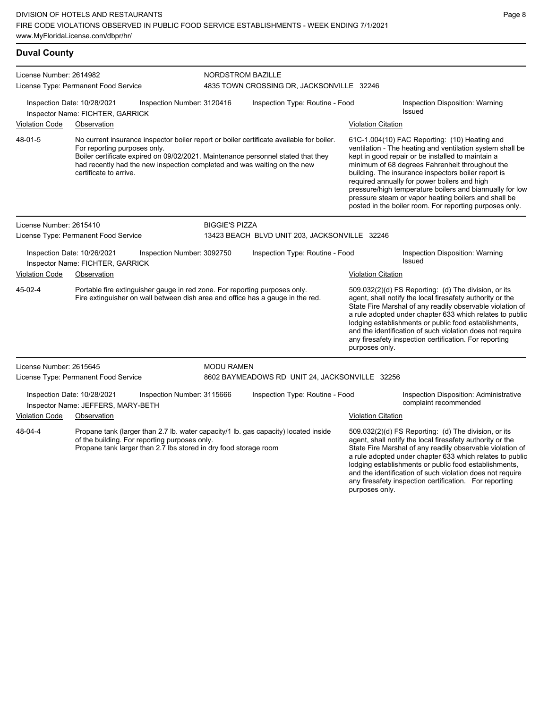| <b>Duval County</b>                                                                                                                                                                                                 |                                                                   |                                                                          |                                               |                                                                                                                                                                                                                                            |                           |                                                                                                                                                                                                                                                                                                                                                                                                                                                                                                          |  |
|---------------------------------------------------------------------------------------------------------------------------------------------------------------------------------------------------------------------|-------------------------------------------------------------------|--------------------------------------------------------------------------|-----------------------------------------------|--------------------------------------------------------------------------------------------------------------------------------------------------------------------------------------------------------------------------------------------|---------------------------|----------------------------------------------------------------------------------------------------------------------------------------------------------------------------------------------------------------------------------------------------------------------------------------------------------------------------------------------------------------------------------------------------------------------------------------------------------------------------------------------------------|--|
| License Number: 2614982                                                                                                                                                                                             |                                                                   |                                                                          | <b>NORDSTROM BAZILLE</b>                      |                                                                                                                                                                                                                                            |                           |                                                                                                                                                                                                                                                                                                                                                                                                                                                                                                          |  |
|                                                                                                                                                                                                                     | License Type: Permanent Food Service                              |                                                                          |                                               | 4835 TOWN CROSSING DR, JACKSONVILLE 32246                                                                                                                                                                                                  |                           |                                                                                                                                                                                                                                                                                                                                                                                                                                                                                                          |  |
|                                                                                                                                                                                                                     | Inspection Date: 10/28/2021<br>Inspector Name: FICHTER, GARRICK   | Inspection Number: 3120416                                               | Inspection Type: Routine - Food               |                                                                                                                                                                                                                                            |                           | Inspection Disposition: Warning<br>Issued                                                                                                                                                                                                                                                                                                                                                                                                                                                                |  |
| <b>Violation Code</b>                                                                                                                                                                                               | Observation                                                       |                                                                          |                                               |                                                                                                                                                                                                                                            | <b>Violation Citation</b> |                                                                                                                                                                                                                                                                                                                                                                                                                                                                                                          |  |
| 48-01-5                                                                                                                                                                                                             | For reporting purposes only.<br>certificate to arrive.            | had recently had the new inspection completed and was waiting on the new |                                               | No current insurance inspector boiler report or boiler certificate available for boiler.<br>Boiler certificate expired on 09/02/2021. Maintenance personnel stated that they                                                               |                           | 61C-1.004(10) FAC Reporting: (10) Heating and<br>ventilation - The heating and ventilation system shall be<br>kept in good repair or be installed to maintain a<br>minimum of 68 degrees Fahrenheit throughout the<br>building. The insurance inspectors boiler report is<br>required annually for power boilers and high<br>pressure/high temperature boilers and biannually for low<br>pressure steam or vapor heating boilers and shall be<br>posted in the boiler room. For reporting purposes only. |  |
| License Number: 2615410                                                                                                                                                                                             |                                                                   |                                                                          | <b>BIGGIE'S PIZZA</b>                         |                                                                                                                                                                                                                                            |                           |                                                                                                                                                                                                                                                                                                                                                                                                                                                                                                          |  |
|                                                                                                                                                                                                                     | License Type: Permanent Food Service                              |                                                                          | 13423 BEACH BLVD UNIT 203, JACKSONVILLE 32246 |                                                                                                                                                                                                                                            |                           |                                                                                                                                                                                                                                                                                                                                                                                                                                                                                                          |  |
|                                                                                                                                                                                                                     | Inspection Date: 10/26/2021<br>Inspector Name: FICHTER, GARRICK   | Inspection Number: 3092750                                               |                                               | Inspection Type: Routine - Food                                                                                                                                                                                                            |                           | Inspection Disposition: Warning<br>Issued                                                                                                                                                                                                                                                                                                                                                                                                                                                                |  |
| <b>Violation Code</b>                                                                                                                                                                                               | Observation                                                       |                                                                          |                                               |                                                                                                                                                                                                                                            | <b>Violation Citation</b> |                                                                                                                                                                                                                                                                                                                                                                                                                                                                                                          |  |
| 45-02-4<br>Portable fire extinguisher gauge in red zone. For reporting purposes only.<br>Fire extinguisher on wall between dish area and office has a gauge in the red.                                             |                                                                   |                                                                          |                                               |                                                                                                                                                                                                                                            | purposes only.            | 509.032(2)(d) FS Reporting: (d) The division, or its<br>agent, shall notify the local firesafety authority or the<br>State Fire Marshal of any readily observable violation of<br>a rule adopted under chapter 633 which relates to public<br>lodging establishments or public food establishments,<br>and the identification of such violation does not require<br>any firesafety inspection certification. For reporting                                                                               |  |
| License Number: 2615645                                                                                                                                                                                             |                                                                   |                                                                          | <b>MODU RAMEN</b>                             |                                                                                                                                                                                                                                            |                           |                                                                                                                                                                                                                                                                                                                                                                                                                                                                                                          |  |
|                                                                                                                                                                                                                     | License Type: Permanent Food Service                              |                                                                          |                                               | 8602 BAYMEADOWS RD UNIT 24, JACKSONVILLE 32256                                                                                                                                                                                             |                           |                                                                                                                                                                                                                                                                                                                                                                                                                                                                                                          |  |
|                                                                                                                                                                                                                     | Inspection Date: 10/28/2021<br>Inspector Name: JEFFERS, MARY-BETH | Inspection Number: 3115666                                               |                                               | Inspection Type: Routine - Food                                                                                                                                                                                                            |                           | Inspection Disposition: Administrative<br>complaint recommended                                                                                                                                                                                                                                                                                                                                                                                                                                          |  |
| <b>Violation Code</b>                                                                                                                                                                                               | Observation                                                       |                                                                          |                                               |                                                                                                                                                                                                                                            | <b>Violation Citation</b> |                                                                                                                                                                                                                                                                                                                                                                                                                                                                                                          |  |
| Propane tank (larger than 2.7 lb. water capacity/1 lb. gas capacity) located inside<br>48-04-4<br>of the building. For reporting purposes only.<br>Propane tank larger than 2.7 lbs stored in dry food storage room |                                                                   |                                                                          |                                               | 509.032(2)(d) FS Reporting: (d) The division, or its<br>agent, shall notify the local firesafety authority or the<br>State Fire Marshal of any readily observable violation of<br>a rule adopted under chapter 633 which relates to public |                           |                                                                                                                                                                                                                                                                                                                                                                                                                                                                                                          |  |

lodging establishments or public food establishments, and the identification of such violation does not require any firesafety inspection certification. For reporting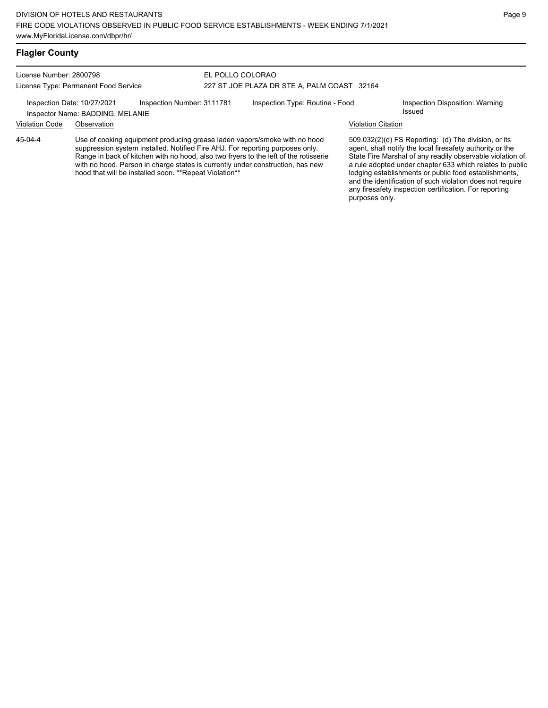## **Flagler County**

45-04-4

License Number: 2800798 License Type: Permanent Food Service

### EL POLLO COLORAO 227 ST JOE PLAZA DR STE A, PALM COAST 32164

Inspection Date: 10/27/2021 Inspection Number: 3111781 Inspection Type: Routine - Food Inspection Disposition: Warning

Inspector Name: BADDING, MELANIE

## Violation Code Observation Violation Citation

Use of cooking equipment producing grease laden vapors/smoke with no hood suppression system installed. Notified Fire AHJ. For reporting purposes only. Range in back of kitchen with no hood, also two fryers to the left of the rotisserie with no hood. Person in charge states is currently under construction, has new hood that will be installed soon. \*\*Repeat Violation\*\*

509.032(2)(d) FS Reporting: (d) The division, or its agent, shall notify the local firesafety authority or the State Fire Marshal of any readily observable violation of a rule adopted under chapter 633 which relates to public lodging establishments or public food establishments, and the identification of such violation does not require any firesafety inspection certification. For reporting purposes only.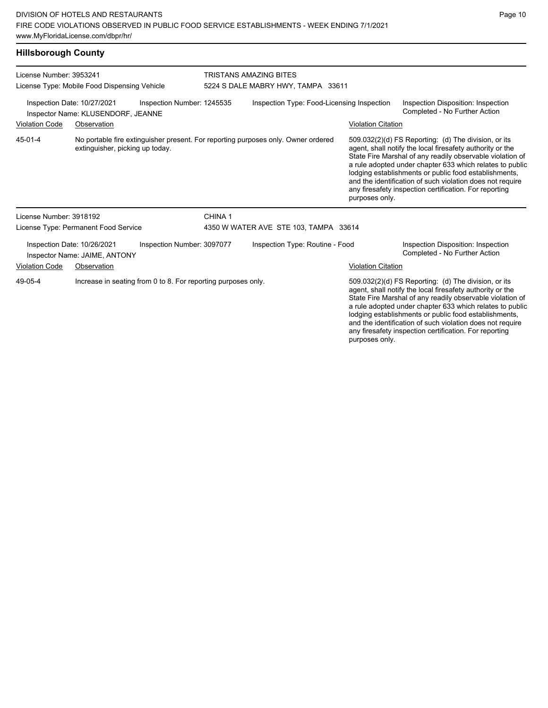## **Hillsborough County**

| License Number: 3953241<br>License Type: Mobile Food Dispensing Vehicle                         |                                                              |                                                               | <b>TRISTANS AMAZING BITES</b><br>5224 S DALE MABRY HWY, TAMPA 33611 |                                                                                   |                           |                                                                                                                                                                                                                                                                                                                                                                                                                            |  |
|-------------------------------------------------------------------------------------------------|--------------------------------------------------------------|---------------------------------------------------------------|---------------------------------------------------------------------|-----------------------------------------------------------------------------------|---------------------------|----------------------------------------------------------------------------------------------------------------------------------------------------------------------------------------------------------------------------------------------------------------------------------------------------------------------------------------------------------------------------------------------------------------------------|--|
| Inspection Date: 10/27/2021<br>Inspection Number: 1245535<br>Inspector Name: KLUSENDORF, JEANNE |                                                              |                                                               |                                                                     | Inspection Type: Food-Licensing Inspection                                        |                           | Inspection Disposition: Inspection<br>Completed - No Further Action                                                                                                                                                                                                                                                                                                                                                        |  |
| <b>Violation Code</b>                                                                           | Observation                                                  |                                                               |                                                                     |                                                                                   | <b>Violation Citation</b> |                                                                                                                                                                                                                                                                                                                                                                                                                            |  |
| 45-01-4                                                                                         | extinguisher, picking up today.                              |                                                               |                                                                     | No portable fire extinguisher present. For reporting purposes only. Owner ordered | purposes only.            | 509.032(2)(d) FS Reporting: (d) The division, or its<br>agent, shall notify the local firesafety authority or the<br>State Fire Marshal of any readily observable violation of<br>a rule adopted under chapter 633 which relates to public<br>lodging establishments or public food establishments,<br>and the identification of such violation does not require<br>any firesafety inspection certification. For reporting |  |
| License Number: 3918192                                                                         |                                                              |                                                               | CHINA <sub>1</sub>                                                  |                                                                                   |                           |                                                                                                                                                                                                                                                                                                                                                                                                                            |  |
|                                                                                                 | License Type: Permanent Food Service                         |                                                               |                                                                     | 4350 W WATER AVE STE 103, TAMPA 33614                                             |                           |                                                                                                                                                                                                                                                                                                                                                                                                                            |  |
|                                                                                                 | Inspection Date: 10/26/2021<br>Inspector Name: JAIME, ANTONY | Inspection Number: 3097077                                    |                                                                     | Inspection Type: Routine - Food                                                   |                           | Inspection Disposition: Inspection<br>Completed - No Further Action                                                                                                                                                                                                                                                                                                                                                        |  |
| <b>Violation Code</b>                                                                           | Observation                                                  |                                                               |                                                                     |                                                                                   | <b>Violation Citation</b> |                                                                                                                                                                                                                                                                                                                                                                                                                            |  |
| 49-05-4                                                                                         |                                                              | Increase in seating from 0 to 8. For reporting purposes only. |                                                                     |                                                                                   |                           | 509.032(2)(d) FS Reporting: (d) The division, or its<br>agent, shall notify the local firesafety authority or the<br>State Fire Marshal of any readily observable violation of<br>a rule adopted under chapter 633 which relates to public<br>lodging establishments or public food establishments,                                                                                                                        |  |

and the identification of such violation does not require any firesafety inspection certification. For reporting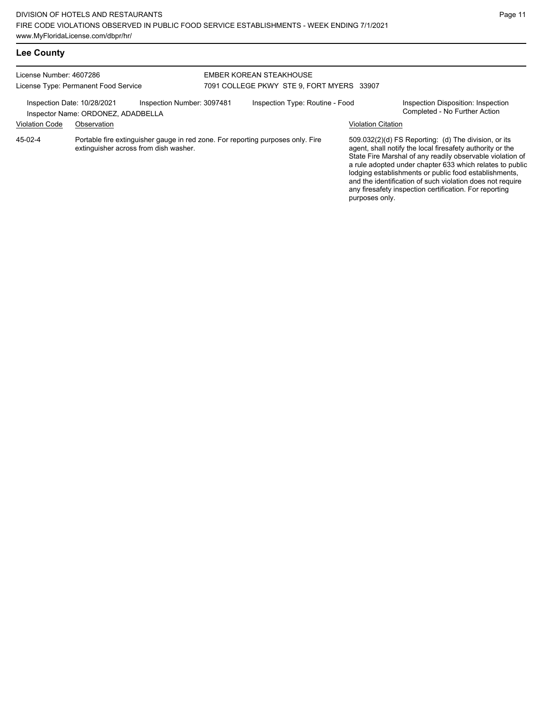# **Lee County**

#### License Number: 4607286 License Type: Permanent Food Service EMBER KOREAN STEAKHOUSE 7091 COLLEGE PKWY STE 9, FORT MYERS 33907 Inspection Date: 10/28/2021 Inspection Number: 3097481 Inspection Type: Routine - Food Inspection Disposition: Inspection<br>Inspector Name: ORDONEZ ADADBELLA Inspector Name: ORDONEZ, ADADBELLA Violation Code Observation Violation Citation Portable fire extinguisher gauge in red zone. For reporting purposes only. Fire extinguisher across from dish washer. 509.032(2)(d) FS Reporting: (d) The division, or its agent, shall notify the local firesafety authority or the State Fire Marshal of any readily observable violation of a rule adopted under chapter 633 which relates to public lodging establishments or public food establishments, and the identification of such violation does not require any firesafety inspection certification. For reporting purposes only. 45-02-4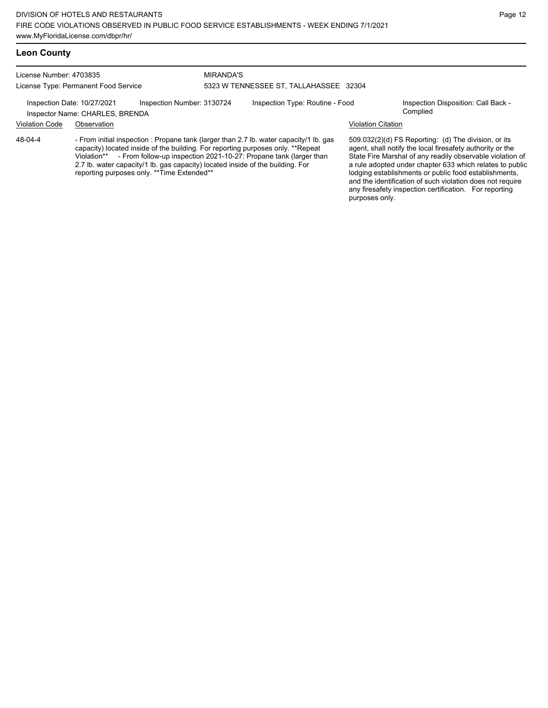MIRANDA'S

## **Leon County**

License Number: 4703835 License Type: Permanent Food Service

# 5323 W TENNESSEE ST, TALLAHASSEE 32304

Inspection Date: 10/27/2021 Inspection Number: 3130724 Inspection Type: Routine - Food Inspection Disposition: Call Back -

## Inspector Name: CHARLES, BRENDA **Inspector Name:** Complied

# Violation Code Observation Violation Citation

- From initial inspection : Propane tank (larger than 2.7 lb. water capacity/1 lb. gas capacity) located inside of the building. For reporting purposes only. \*\*Repeat Violation\*\* - From follow-up inspection 2021-10-27: Propane tank (larger that - From follow-up inspection 2021-10-27: Propane tank (larger than 2.7 lb. water capacity/1 lb. gas capacity) located inside of the building. For reporting purposes only. \*\*Time Extended\*\* 48-04-4

509.032(2)(d) FS Reporting: (d) The division, or its agent, shall notify the local firesafety authority or the State Fire Marshal of any readily observable violation of a rule adopted under chapter 633 which relates to public lodging establishments or public food establishments, and the identification of such violation does not require any firesafety inspection certification. For reporting purposes only.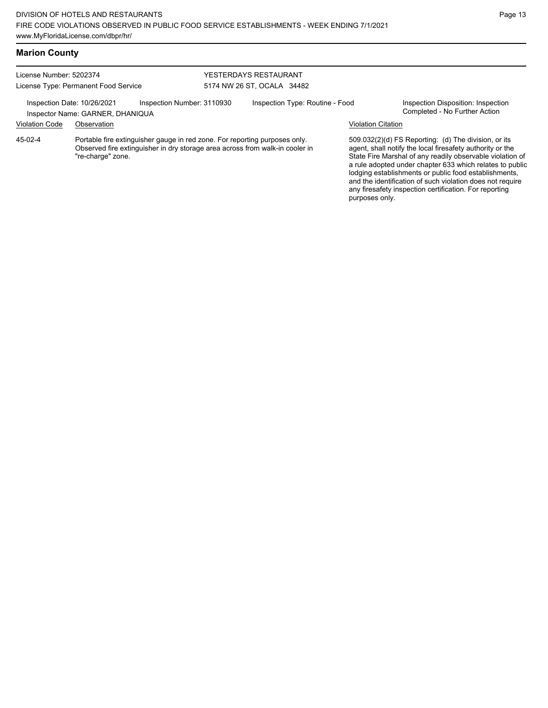| <b>Marion County</b>                 |                                                                 |                                                                                                                                                            |                            |                       |                                 |                           |                                                                                                                                                                                                                                                                                                                                                                                                                            |
|--------------------------------------|-----------------------------------------------------------------|------------------------------------------------------------------------------------------------------------------------------------------------------------|----------------------------|-----------------------|---------------------------------|---------------------------|----------------------------------------------------------------------------------------------------------------------------------------------------------------------------------------------------------------------------------------------------------------------------------------------------------------------------------------------------------------------------------------------------------------------------|
| License Number: 5202374              |                                                                 |                                                                                                                                                            |                            | YESTERDAYS RESTAURANT |                                 |                           |                                                                                                                                                                                                                                                                                                                                                                                                                            |
| License Type: Permanent Food Service |                                                                 |                                                                                                                                                            | 5174 NW 26 ST, OCALA 34482 |                       |                                 |                           |                                                                                                                                                                                                                                                                                                                                                                                                                            |
|                                      | Inspection Date: 10/26/2021<br>Inspector Name: GARNER, DHANIQUA | Inspection Number: 3110930                                                                                                                                 |                            |                       | Inspection Type: Routine - Food |                           | Inspection Disposition: Inspection<br>Completed - No Further Action                                                                                                                                                                                                                                                                                                                                                        |
| <b>Violation Code</b>                | Observation                                                     |                                                                                                                                                            |                            |                       |                                 | <b>Violation Citation</b> |                                                                                                                                                                                                                                                                                                                                                                                                                            |
| 45-02-4                              | "re-charge" zone.                                               | Portable fire extinguisher gauge in red zone. For reporting purposes only.<br>Observed fire extinguisher in dry storage area across from walk-in cooler in |                            |                       |                                 | purposes only.            | 509.032(2)(d) FS Reporting: (d) The division, or its<br>agent, shall notify the local firesafety authority or the<br>State Fire Marshal of any readily observable violation of<br>a rule adopted under chapter 633 which relates to public<br>lodging establishments or public food establishments,<br>and the identification of such violation does not require<br>any firesafety inspection certification. For reporting |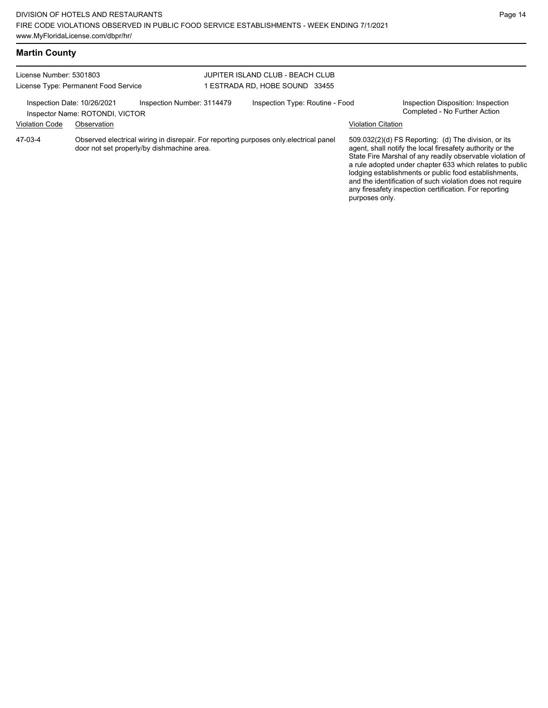| License Number: 5301803<br>License Type: Permanent Food Service |                                 | JUPITER ISLAND CLUB - BEACH CLUB<br>1 ESTRADA RD. HOBE SOUND 33455 |                                                                                       |                           |                                                                                                                                                                                                                                                                                                                                                                                                                            |
|-----------------------------------------------------------------|---------------------------------|--------------------------------------------------------------------|---------------------------------------------------------------------------------------|---------------------------|----------------------------------------------------------------------------------------------------------------------------------------------------------------------------------------------------------------------------------------------------------------------------------------------------------------------------------------------------------------------------------------------------------------------------|
| Inspection Date: 10/26/2021                                     | Inspector Name: ROTONDI, VICTOR | Inspection Number: 3114479                                         | Inspection Type: Routine - Food                                                       |                           | Inspection Disposition: Inspection<br>Completed - No Further Action                                                                                                                                                                                                                                                                                                                                                        |
| <b>Violation Code</b>                                           | Observation                     |                                                                    |                                                                                       | <b>Violation Citation</b> |                                                                                                                                                                                                                                                                                                                                                                                                                            |
| 47-03-4                                                         |                                 | door not set properly/by dishmachine area.                         | Observed electrical wiring in disrepair. For reporting purposes only electrical panel | purposes only.            | 509.032(2)(d) FS Reporting: (d) The division, or its<br>agent, shall notify the local firesafety authority or the<br>State Fire Marshal of any readily observable violation of<br>a rule adopted under chapter 633 which relates to public<br>lodging establishments or public food establishments,<br>and the identification of such violation does not require<br>any firesafety inspection certification. For reporting |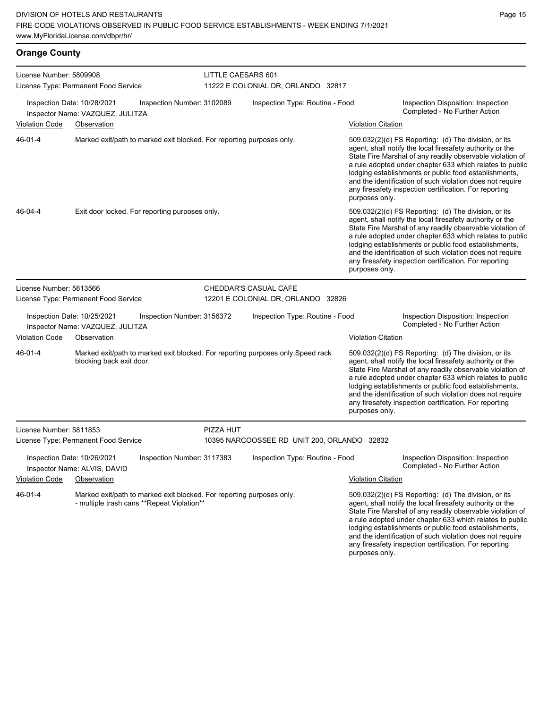**Orange County**

| License Number: 5809908              |                                                                                                                      |                            | LITTLE CAESARS 601                 |                                                                                  |                           |                                                                                                                                                                                                                                                                                                                                                                                                                            |  |  |
|--------------------------------------|----------------------------------------------------------------------------------------------------------------------|----------------------------|------------------------------------|----------------------------------------------------------------------------------|---------------------------|----------------------------------------------------------------------------------------------------------------------------------------------------------------------------------------------------------------------------------------------------------------------------------------------------------------------------------------------------------------------------------------------------------------------------|--|--|
| License Type: Permanent Food Service |                                                                                                                      |                            | 11222 E COLONIAL DR, ORLANDO 32817 |                                                                                  |                           |                                                                                                                                                                                                                                                                                                                                                                                                                            |  |  |
|                                      | Inspection Date: 10/28/2021<br>Inspector Name: VAZQUEZ, JULITZA                                                      | Inspection Number: 3102089 |                                    | Inspection Type: Routine - Food                                                  |                           | Inspection Disposition: Inspection<br>Completed - No Further Action                                                                                                                                                                                                                                                                                                                                                        |  |  |
| Violation Code                       | Observation                                                                                                          |                            |                                    |                                                                                  | <b>Violation Citation</b> |                                                                                                                                                                                                                                                                                                                                                                                                                            |  |  |
| 46-01-4                              | Marked exit/path to marked exit blocked. For reporting purposes only.                                                |                            |                                    |                                                                                  | purposes only.            | 509.032(2)(d) FS Reporting: (d) The division, or its<br>agent, shall notify the local firesafety authority or the<br>State Fire Marshal of any readily observable violation of<br>a rule adopted under chapter 633 which relates to public<br>lodging establishments or public food establishments,<br>and the identification of such violation does not require<br>any firesafety inspection certification. For reporting |  |  |
| 46-04-4                              | Exit door locked. For reporting purposes only.                                                                       |                            |                                    |                                                                                  | purposes only.            | 509.032(2)(d) FS Reporting: (d) The division, or its<br>agent, shall notify the local firesafety authority or the<br>State Fire Marshal of any readily observable violation of<br>a rule adopted under chapter 633 which relates to public<br>lodging establishments or public food establishments,<br>and the identification of such violation does not require<br>any firesafety inspection certification. For reporting |  |  |
| License Number: 5813566              |                                                                                                                      |                            |                                    | CHEDDAR'S CASUAL CAFE                                                            |                           |                                                                                                                                                                                                                                                                                                                                                                                                                            |  |  |
|                                      | License Type: Permanent Food Service                                                                                 |                            |                                    | 12201 E COLONIAL DR, ORLANDO 32826                                               |                           |                                                                                                                                                                                                                                                                                                                                                                                                                            |  |  |
|                                      | Inspection Date: 10/25/2021<br>Inspector Name: VAZQUEZ, JULITZA                                                      | Inspection Number: 3156372 |                                    | Inspection Type: Routine - Food                                                  |                           | Inspection Disposition: Inspection<br>Completed - No Further Action                                                                                                                                                                                                                                                                                                                                                        |  |  |
| Violation Code                       | Observation                                                                                                          |                            |                                    |                                                                                  | <b>Violation Citation</b> |                                                                                                                                                                                                                                                                                                                                                                                                                            |  |  |
| 46-01-4                              | blocking back exit door.                                                                                             |                            |                                    | Marked exit/path to marked exit blocked. For reporting purposes only. Speed rack | purposes only.            | 509.032(2)(d) FS Reporting: (d) The division, or its<br>agent, shall notify the local firesafety authority or the<br>State Fire Marshal of any readily observable violation of<br>a rule adopted under chapter 633 which relates to public<br>lodging establishments or public food establishments,<br>and the identification of such violation does not require<br>any firesafety inspection certification. For reporting |  |  |
| License Number: 5811853              |                                                                                                                      |                            | PIZZA HUT                          |                                                                                  |                           |                                                                                                                                                                                                                                                                                                                                                                                                                            |  |  |
|                                      | License Type: Permanent Food Service                                                                                 |                            |                                    | 10395 NARCOOSSEE RD UNIT 200, ORLANDO 32832                                      |                           |                                                                                                                                                                                                                                                                                                                                                                                                                            |  |  |
|                                      | Inspection Date: 10/26/2021<br>Inspector Name: ALVIS, DAVID                                                          | Inspection Number: 3117383 |                                    | Inspection Type: Routine - Food                                                  |                           | Inspection Disposition: Inspection<br>Completed - No Further Action                                                                                                                                                                                                                                                                                                                                                        |  |  |
| <b>Violation Code</b>                | Observation                                                                                                          |                            |                                    |                                                                                  | <b>Violation Citation</b> |                                                                                                                                                                                                                                                                                                                                                                                                                            |  |  |
| 46-01-4                              | Marked exit/path to marked exit blocked. For reporting purposes only.<br>- multiple trash cans ** Repeat Violation** |                            |                                    |                                                                                  |                           | 509.032(2)(d) FS Reporting: (d) The division, or its<br>agent, shall notify the local firesafety authority or the<br>State Fire Marshal of any readily observable violation of<br>a rule adopted under chapter 633 which relates to public<br>lodging establishments or public food establishments,<br>and the identification of such violation does not require<br>any firesafety inspection certification. For reporting |  |  |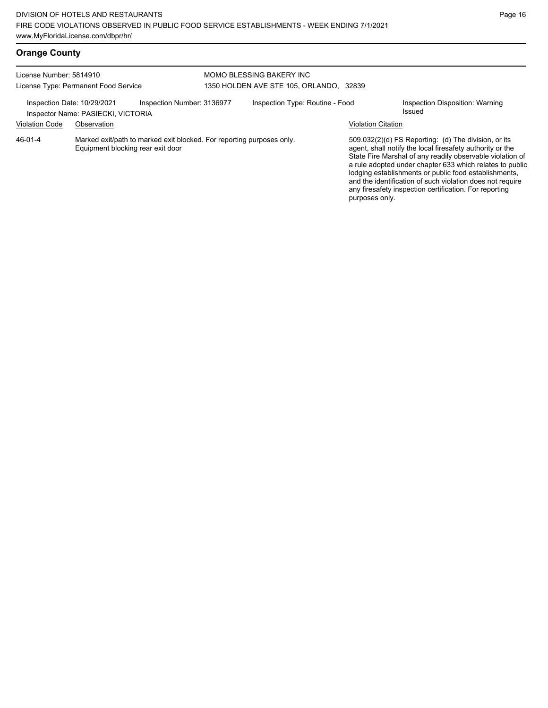|  | <b>Orange County</b> |
|--|----------------------|
|--|----------------------|

| License Number: 5814910<br>License Type: Permanent Food Service |                                                                                                            |  | MOMO BLESSING BAKERY INC<br>1350 HOLDEN AVE STE 105, ORLANDO, 32839 |                                                                                                                                                                                                                                                                                                                                                                                                                                              |                                           |  |
|-----------------------------------------------------------------|------------------------------------------------------------------------------------------------------------|--|---------------------------------------------------------------------|----------------------------------------------------------------------------------------------------------------------------------------------------------------------------------------------------------------------------------------------------------------------------------------------------------------------------------------------------------------------------------------------------------------------------------------------|-------------------------------------------|--|
| Inspection Date: 10/29/2021<br><b>Violation Code</b>            | Inspection Number: 3136977<br>Inspector Name: PASIECKI, VICTORIA<br>Observation                            |  | Inspection Type: Routine - Food                                     | <b>Violation Citation</b>                                                                                                                                                                                                                                                                                                                                                                                                                    | Inspection Disposition: Warning<br>Issued |  |
| 46-01-4                                                         | Marked exit/path to marked exit blocked. For reporting purposes only.<br>Equipment blocking rear exit door |  |                                                                     | 509.032(2)(d) FS Reporting: (d) The division, or its<br>agent, shall notify the local firesafety authority or the<br>State Fire Marshal of any readily observable violation of<br>a rule adopted under chapter 633 which relates to public<br>lodging establishments or public food establishments,<br>and the identification of such violation does not require<br>any firesafety inspection certification. For reporting<br>purposes only. |                                           |  |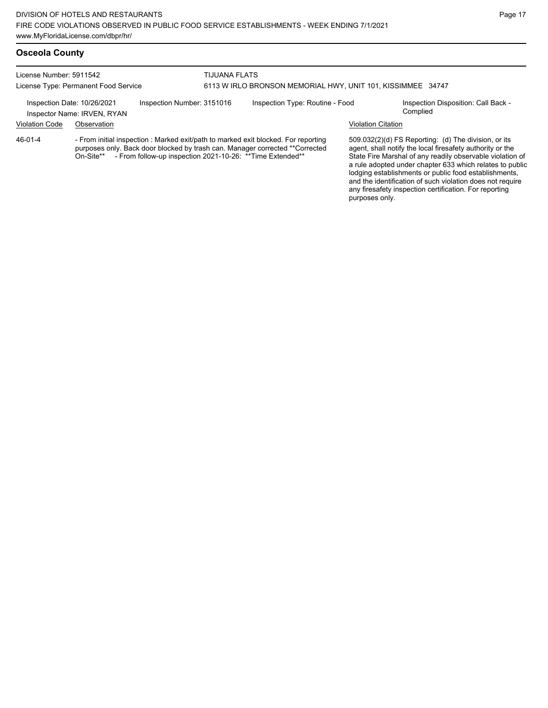### **Osceola County**

License Number: 5911542 License Type: Permanent Food Service TIJUANA FLATS 6113 W IRLO BRONSON MEMORIAL HWY, UNIT 101, KISSIMMEE 34747 Inspection Date: 10/26/2021 Inspection Number: 3151016 Inspection Type: Routine - Food Inspection Disposition: Call Back -

Inspector Name: IRVEN, RYAN

Violation Code Observation Violation Citation

- From initial inspection : Marked exit/path to marked exit blocked. For reporting purposes only. Back door blocked by trash can. Manager corrected \*\*Corrected On-Site\*\* - From follow-up inspection 2021-10-26: \*\*Time Extended\*\* 46-01-4

509.032(2)(d) FS Reporting: (d) The division, or its agent, shall notify the local firesafety authority or the State Fire Marshal of any readily observable violation of a rule adopted under chapter 633 which relates to public lodging establishments or public food establishments, and the identification of such violation does not require any firesafety inspection certification. For reporting purposes only.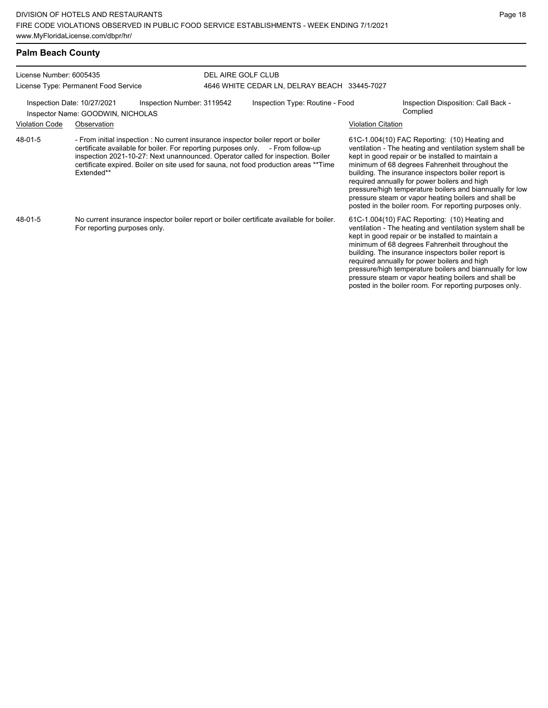| License Number: 6005435<br>License Type: Permanent Food Service  |                                                                                                                          |                                                                                                                                                                                                                                                                                                                                                  | DEL AIRE GOLF CLUB                           |                                                                                                                                                                                                                                                                                                                                                                                                                                                                                                          |                                                 |  |
|------------------------------------------------------------------|--------------------------------------------------------------------------------------------------------------------------|--------------------------------------------------------------------------------------------------------------------------------------------------------------------------------------------------------------------------------------------------------------------------------------------------------------------------------------------------|----------------------------------------------|----------------------------------------------------------------------------------------------------------------------------------------------------------------------------------------------------------------------------------------------------------------------------------------------------------------------------------------------------------------------------------------------------------------------------------------------------------------------------------------------------------|-------------------------------------------------|--|
|                                                                  |                                                                                                                          |                                                                                                                                                                                                                                                                                                                                                  | 4646 WHITE CEDAR LN, DELRAY BEACH 33445-7027 |                                                                                                                                                                                                                                                                                                                                                                                                                                                                                                          |                                                 |  |
| Inspection Date: 10/27/2021<br>Inspector Name: GOODWIN, NICHOLAS |                                                                                                                          | Inspection Number: 3119542                                                                                                                                                                                                                                                                                                                       | Inspection Type: Routine - Food              |                                                                                                                                                                                                                                                                                                                                                                                                                                                                                                          | Inspection Disposition: Call Back -<br>Complied |  |
| <b>Violation Code</b>                                            | Observation                                                                                                              |                                                                                                                                                                                                                                                                                                                                                  |                                              | <b>Violation Citation</b>                                                                                                                                                                                                                                                                                                                                                                                                                                                                                |                                                 |  |
| 48-01-5                                                          | Extended**                                                                                                               | - From initial inspection : No current insurance inspector boiler report or boiler<br>certificate available for boiler. For reporting purposes only. - From follow-up<br>inspection 2021-10-27: Next unannounced. Operator called for inspection. Boiler<br>certificate expired. Boiler on site used for sauna, not food production areas **Time |                                              | 61C-1.004(10) FAC Reporting: (10) Heating and<br>ventilation - The heating and ventilation system shall be<br>kept in good repair or be installed to maintain a<br>minimum of 68 degrees Fahrenheit throughout the<br>building. The insurance inspectors boiler report is<br>required annually for power boilers and high<br>pressure/high temperature boilers and biannually for low<br>pressure steam or vapor heating boilers and shall be<br>posted in the boiler room. For reporting purposes only. |                                                 |  |
| 48-01-5                                                          | No current insurance inspector boiler report or boiler certificate available for boiler.<br>For reporting purposes only. |                                                                                                                                                                                                                                                                                                                                                  |                                              | 61C-1.004(10) FAC Reporting: (10) Heating and<br>ventilation - The heating and ventilation system shall be<br>kept in good repair or be installed to maintain a<br>minimum of 68 degrees Fahrenheit throughout the<br>building. The insurance inspectors boiler report is<br>required annually for power boilers and high<br>pressure/high temperature boilers and biannually for low                                                                                                                    |                                                 |  |

pressure steam or vapor heating boilers and shall be posted in the boiler room. For reporting purposes only.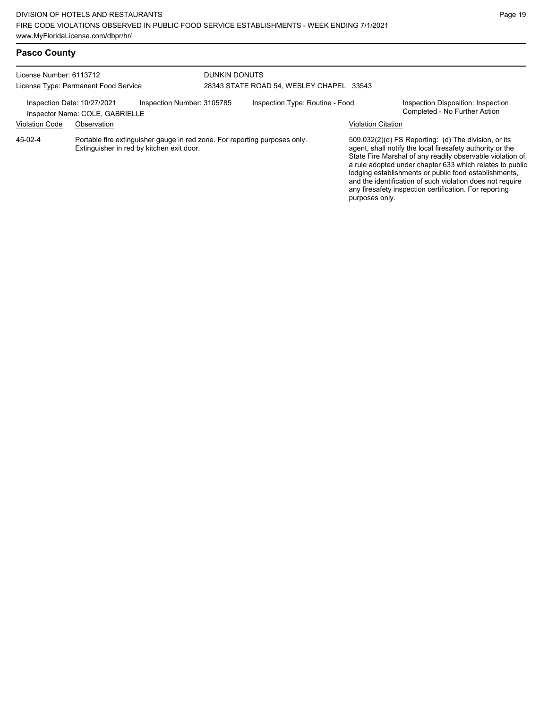# **Pasco County**

| License Number: 6113712<br>License Type: Permanent Food Service |                                                |                            | <b>DUNKIN DONUTS</b><br>28343 STATE ROAD 54, WESLEY CHAPEL 33543           |                           |                                                                                                                                                                                                                                                                                                                                                                                                                                                |  |
|-----------------------------------------------------------------|------------------------------------------------|----------------------------|----------------------------------------------------------------------------|---------------------------|------------------------------------------------------------------------------------------------------------------------------------------------------------------------------------------------------------------------------------------------------------------------------------------------------------------------------------------------------------------------------------------------------------------------------------------------|--|
| Inspection Date: 10/27/2021<br><b>Violation Code</b>            | Inspector Name: COLE, GABRIELLE<br>Observation | Inspection Number: 3105785 | Inspection Type: Routine - Food                                            | <b>Violation Citation</b> | Inspection Disposition: Inspection<br>Completed - No Further Action                                                                                                                                                                                                                                                                                                                                                                            |  |
| 45-02-4                                                         | Extinguisher in red by kitchen exit door.      |                            | Portable fire extinguisher gauge in red zone. For reporting purposes only. |                           | $509.032(2)(d)$ FS Reporting: (d) The division, or its<br>agent, shall notify the local firesafety authority or the<br>State Fire Marshal of any readily observable violation of<br>a rule adopted under chapter 633 which relates to public<br>lodging establishments or public food establishments,<br>and the identification of such violation does not require<br>any firesafety inspection certification. For reporting<br>purposes only. |  |